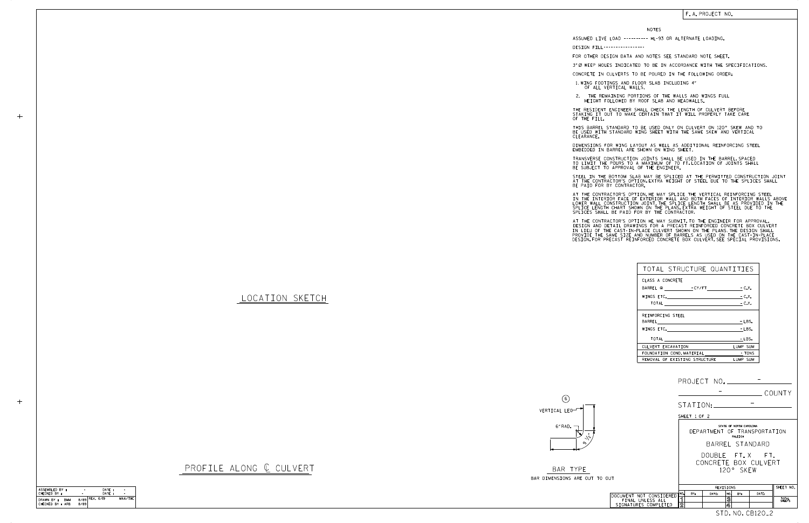LOCATION SKETCH

PROFILE ALONG  $C$  CULVERT

 $+$ 

 $+$ 

BAR TYPE BAR DIMENSIONS ARE OUT



| TOTAL STRUCTURE QUANTITIES     |          |
|--------------------------------|----------|
| CLASS A CONCRETE               |          |
|                                |          |
| $WINGS$ ETC. $-C.Y.$           |          |
| TOTAL $\qquad \qquad -C.Y.$    |          |
| REINFORCING STEEL              |          |
|                                | $-LBS.$  |
| WINGS ETC.                     | $-LBS.$  |
| TOTAL                          | - LBS.   |
| CULVERT EXCAVATION             | LUMP SUM |
| FOUNDATION COND. MATERIAL TONS |          |
| REMOVAL OF EXISTING STRUCTURE  | LUMP SUM |

NOTES

DESIGN FILL-----------------

FOR OTHER DESIGN DATA AND NOTES SEE STANDARD NOTE SHEET.

3" Ø WEEP HOLES INDICATED TO BE IN ACCORDANCE WITH THE SPECIFICATIONS.

CONCRETE IN CULVERTS TO BE POURED IN THE FOLLOWING ORDER:

1.WING FOOTINGS AND FLOOR SLAB INCLUDING 4″<br>OF ALL VERTICAL WALLS.

STEEL IN THE BOTTOM SLAB MAY BE SPLICED AT THE PERMITTED CONSTRUCTION JOINT AT THE CONTRACTOR'S OPTION.EXTRA WEIGHT OF STEEL DUE TO THE SPLICES SHALL<br>BE PAID FOR BY CONTRACTOR.

BE USED WITH STANDARD WING SHEET WITH THE SAME SKEW AND VERTICAL CLEARANCE. THIS BARREL STANDARD TO BE USED ONLY ON CULVERT ON 120° SKEW AND TO

DIMENSIONS FOR WING LAYOUT AS WELL AS ADDITIONAL REINFORCING STEEL<br>EMBEDDED IN BARREL ARE SHOWN ON WING SHEET.

TRANSVERSE CONSTRUCTION JOINTS SHALL BE USED IN THE BARREL,SPACED<br>TO LIMIT THE POURS TO A MAXIMUM OF 70 FT.LOCATION OF JOINTS SHALL<br>BE SUBJECT TO APPROVAL OF THE ENGINEER.

IN THE INTERIOR FACE OF EXTERIOR WALL AND BOTH FACES OF INTERIOR WALLS ABOVE<br>LOWER WALL CONSTRUCTION JOINT.THE SPLICE LENGTH SHALL BE AS PROVIDED IN THE<br>SPLICE LENGTH CHART SHOWN ON THE PLANS.EXTRA WEIGHT OF STEEL DUE TO T AT THE CONTRACTOR'S OPTION, HE MAY SPLICE THE VERTICAL REINFORCING STEEL

AT THE CONTRACTOR'S OPTION HE MAY SUBMIT,TO THE ENGINEER FOR APPROVAL,<br>DESIGN AND DETAIL DRAWINGS FOR A PRECAST REINFORCED CONCRETE BOX CULVERT<br>IN LIEU OF THE CAST-IN-PLACE CULVERT SHOWN ON THE PLANS.THE DESIGN SHALL<br>PROVI

 HEIGHT FOLLOWED BY ROOF SLAB AND HEADWALLS. 2. THE REMAINING PORTIONS OF THE WALLS AND WINGS FULL

THE RESIDENT ENGINEER SHALL CHECK THE LENGTH OF CULVERT BEFORE<br>STAKING IT OUT TO MAKE CERTAIN THAT IT WILL PROPERLY TAKE CARE<br>OF THE FILL.

F. A. PROJECT NO.

ASSUMED LIVE LOAD ---------- HL-93 OR ALTERNATE LOADING.

| ASSEMBLED BY:            |      | DATE:            |         |
|--------------------------|------|------------------|---------|
| CHECKED BY :             |      | DATF:            |         |
| DRAWN BY :<br><b>BMM</b> |      | $8/89$ REV. 6/19 | MAA/THC |
| CHECKED BY : ARB         | 8/89 |                  |         |

|                                                                     |                                                                                                                                               |       |                                            |       | COUNTY          |  |
|---------------------------------------------------------------------|-----------------------------------------------------------------------------------------------------------------------------------------------|-------|--------------------------------------------|-------|-----------------|--|
|                                                                     | STATION:<br>SHEET 1 OF 2                                                                                                                      |       |                                            |       |                 |  |
|                                                                     | STATE OF NORTH CAROLINA<br>DEPARTMENT OF TRANSPORTATION<br>RALEIGH<br>BARREL STANDARD<br>DOUBLE FT.X FT.<br>CONCRETE BOX CULVERT<br>120° SKFW |       |                                            |       |                 |  |
| TO OUT                                                              |                                                                                                                                               |       |                                            |       |                 |  |
|                                                                     | SHEET NO.<br>REVISIONS                                                                                                                        |       |                                            |       |                 |  |
| DOCUMENT NOT CONSIDERED<br>FINAL UNLESS ALL<br>SIGNATURES COMPLETED | NO.<br>BY:<br>1<br>$\overline{2}$                                                                                                             | DATE: | NO.<br>RY:<br>$\overline{\mathbf{3}}$<br>4 | DATE: | TOTAL<br>SHEETS |  |
| STD. NO. CB120 <sub>-2</sub>                                        |                                                                                                                                               |       |                                            |       |                 |  |